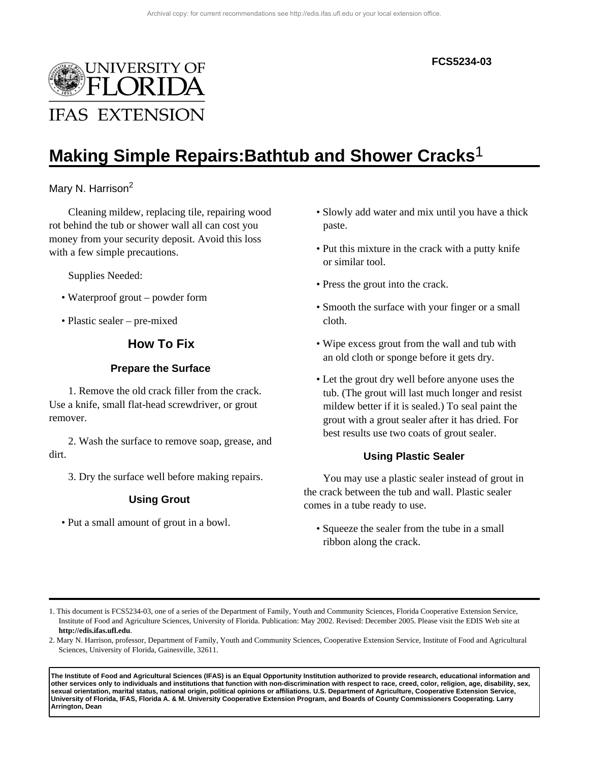#### **FCS5234-03**



# **Making Simple Repairs:Bathtub and Shower Cracks**1

## Mary N. Harrison<sup>2</sup>

Cleaning mildew, replacing tile, repairing wood rot behind the tub or shower wall all can cost you money from your security deposit. Avoid this loss with a few simple precautions.

Supplies Needed:

- Waterproof grout powder form
- Plastic sealer pre-mixed

## **How To Fix**

#### **Prepare the Surface**

1. Remove the old crack filler from the crack. Use a knife, small flat-head screwdriver, or grout remover.

2. Wash the surface to remove soap, grease, and dirt.

3. Dry the surface well before making repairs.

#### **Using Grout**

• Put a small amount of grout in a bowl.

- Slowly add water and mix until you have a thick paste.
- Put this mixture in the crack with a putty knife or similar tool.
- Press the grout into the crack.
- Smooth the surface with your finger or a small cloth.
- Wipe excess grout from the wall and tub with an old cloth or sponge before it gets dry.
- Let the grout dry well before anyone uses the tub. (The grout will last much longer and resist mildew better if it is sealed.) To seal paint the grout with a grout sealer after it has dried. For best results use two coats of grout sealer.

#### **Using Plastic Sealer**

You may use a plastic sealer instead of grout in the crack between the tub and wall. Plastic sealer comes in a tube ready to use.

• Squeeze the sealer from the tube in a small ribbon along the crack.

**The Institute of Food and Agricultural Sciences (IFAS) is an Equal Opportunity Institution authorized to provide research, educational information and other services only to individuals and institutions that function with non-discrimination with respect to race, creed, color, religion, age, disability, sex, sexual orientation, marital status, national origin, political opinions or affiliations. U.S. Department of Agriculture, Cooperative Extension Service, University of Florida, IFAS, Florida A. & M. University Cooperative Extension Program, and Boards of County Commissioners Cooperating. Larry Arrington, Dean**

<sup>1.</sup> This document is FCS5234-03, one of a series of the Department of Family, Youth and Community Sciences, Florida Cooperative Extension Service, Institute of Food and Agriculture Sciences, University of Florida. Publication: May 2002. Revised: December 2005. Please visit the EDIS Web site at **http://edis.ifas.ufl.edu**.

<sup>2.</sup> Mary N. Harrison, professor, Department of Family, Youth and Community Sciences, Cooperative Extension Service, Institute of Food and Agricultural Sciences, University of Florida, Gainesville, 32611.